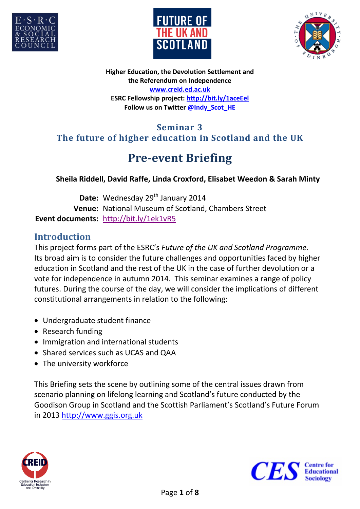





**Higher Education, the Devolution Settlement and the Referendum on Independence [www.creid.ed.ac.uk](http://www.creid.ed.ac.uk/) ESRC Fellowship project:<http://bit.ly/1aceEel> Follow us on Twitter [@Indy\\_Scot\\_HE](https://twitter.com/Indy_Scot_HE)**

## **Seminar 3 The future of higher education in Scotland and the UK**

# **Pre-event Briefing**

#### **Sheila Riddell, David Raffe, Linda Croxford, Elisabet Weedon & Sarah Minty**

Date: Wednesday 29<sup>th</sup> January 2014 **Venue:** National Museum of Scotland, Chambers Street **Event documents:** <http://bit.ly/1ek1vR5>

#### **Introduction**

This project forms part of the ESRC's *Future of the UK and Scotland Programme*. Its broad aim is to consider the future challenges and opportunities faced by higher education in Scotland and the rest of the UK in the case of further devolution or a vote for independence in autumn 2014. This seminar examines a range of policy futures. During the course of the day, we will consider the implications of different constitutional arrangements in relation to the following:

- Undergraduate student finance
- Research funding
- Immigration and international students
- Shared services such as UCAS and QAA
- The university workforce

This Briefing sets the scene by outlining some of the central issues drawn from scenario planning on lifelong learning and Scotland's future conducted by the Goodison Group in Scotland and the Scottish Parliament's Scotland's Future Forum in 2013 [http://www.ggis.org.uk](http://www.ggis.org.uk/)



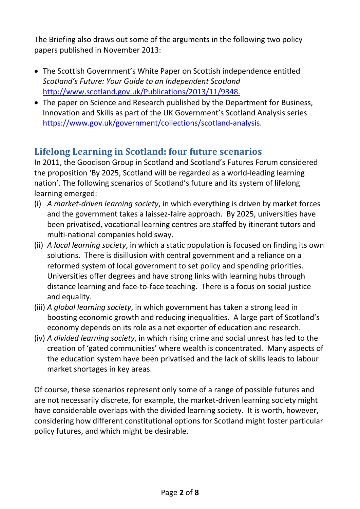The Briefing also draws out some of the arguments in the following two policy papers published in November 2013:

- The Scottish Government's White Paper on Scottish independence entitled *Scotland's Future: Your Guide to an Independent Scotland* [http://www.scotland.gov.uk/Publications/2013/11/9348.](http://www.scotland.gov.uk/Publications/2013/11/9348)
- The paper on Science and Research published by the Department for Business, Innovation and Skills as part of the UK Government's Scotland Analysis series [https://www.gov.uk/government/collections/scotland-analysis.](https://www.gov.uk/government/collections/scotland-analysis)

# **Lifelong Learning in Scotland: four future scenarios**

In 2011, the Goodison Group in Scotland and Scotland's Futures Forum considered the proposition 'By 2025, Scotland will be regarded as a world-leading learning nation'. The following scenarios of Scotland's future and its system of lifelong learning emerged:

- (i) *A market-driven learning society*, in which everything is driven by market forces and the government takes a laissez-faire approach. By 2025, universities have been privatised, vocational learning centres are staffed by itinerant tutors and multi-national companies hold sway.
- (ii) *A local learning society*, in which a static population is focused on finding its own solutions. There is disillusion with central government and a reliance on a reformed system of local government to set policy and spending priorities. Universities offer degrees and have strong links with learning hubs through distance learning and face-to-face teaching. There is a focus on social justice and equality.
- (iii) *A global learning society*, in which government has taken a strong lead in boosting economic growth and reducing inequalities. A large part of Scotland's economy depends on its role as a net exporter of education and research.
- (iv) *A divided learning society*, in which rising crime and social unrest has led to the creation of 'gated communities' where wealth is concentrated. Many aspects of the education system have been privatised and the lack of skills leads to labour market shortages in key areas.

Of course, these scenarios represent only some of a range of possible futures and are not necessarily discrete, for example, the market-driven learning society might have considerable overlaps with the divided learning society. It is worth, however, considering how different constitutional options for Scotland might foster particular policy futures, and which might be desirable.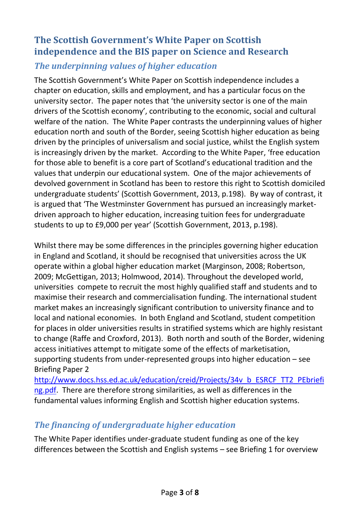# **The Scottish Government's White Paper on Scottish independence and the BIS paper on Science and Research**

#### *The underpinning values of higher education*

The Scottish Government's White Paper on Scottish independence includes a chapter on education, skills and employment, and has a particular focus on the university sector. The paper notes that 'the university sector is one of the main drivers of the Scottish economy', contributing to the economic, social and cultural welfare of the nation. The White Paper contrasts the underpinning values of higher education north and south of the Border, seeing Scottish higher education as being driven by the principles of universalism and social justice, whilst the English system is increasingly driven by the market. According to the White Paper, 'free education for those able to benefit is a core part of Scotland's educational tradition and the values that underpin our educational system. One of the major achievements of devolved government in Scotland has been to restore this right to Scottish domiciled undergraduate students' (Scottish Government, 2013, p.198). By way of contrast, it is argued that 'The Westminster Government has pursued an increasingly marketdriven approach to higher education, increasing tuition fees for undergraduate students to up to £9,000 per year' (Scottish Government, 2013, p.198).

Whilst there may be some differences in the principles governing higher education in England and Scotland, it should be recognised that universities across the UK operate within a global higher education market (Marginson, 2008; Robertson, 2009; McGettigan, 2013; Holmwood, 2014). Throughout the developed world, universities compete to recruit the most highly qualified staff and students and to maximise their research and commercialisation funding. The international student market makes an increasingly significant contribution to university finance and to local and national economies. In both England and Scotland, student competition for places in older universities results in stratified systems which are highly resistant to change (Raffe and Croxford, 2013). Both north and south of the Border, widening access initiatives attempt to mitigate some of the effects of marketisation, supporting students from under-represented groups into higher education – see Briefing Paper 2

[http://www.docs.hss.ed.ac.uk/education/creid/Projects/34v\\_b\\_ESRCF\\_TT2\\_PEbriefi](http://www.docs.hss.ed.ac.uk/education/creid/Projects/34v_b_ESRCF_TT2_PEbriefing.pdf) [ng.pdf.](http://www.docs.hss.ed.ac.uk/education/creid/Projects/34v_b_ESRCF_TT2_PEbriefing.pdf) There are therefore strong similarities, as well as differences in the fundamental values informing English and Scottish higher education systems.

### *The financing of undergraduate higher education*

The White Paper identifies under-graduate student funding as one of the key differences between the Scottish and English systems – see Briefing 1 for overview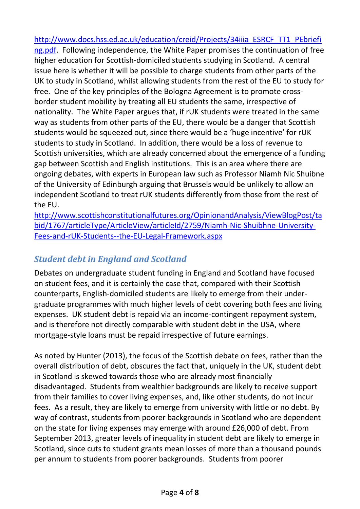[http://www.docs.hss.ed.ac.uk/education/creid/Projects/34iiia\\_ESRCF\\_TT1\\_PEbriefi](http://www.docs.hss.ed.ac.uk/education/creid/Projects/34iiia_ESRCF_TT1_PEbriefing.pdf) [ng.pdf.](http://www.docs.hss.ed.ac.uk/education/creid/Projects/34iiia_ESRCF_TT1_PEbriefing.pdf) Following independence, the White Paper promises the continuation of free higher education for Scottish-domiciled students studying in Scotland. A central issue here is whether it will be possible to charge students from other parts of the UK to study in Scotland, whilst allowing students from the rest of the EU to study for free. One of the key principles of the Bologna Agreement is to promote crossborder student mobility by treating all EU students the same, irrespective of nationality. The White Paper argues that, if rUK students were treated in the same way as students from other parts of the EU, there would be a danger that Scottish students would be squeezed out, since there would be a 'huge incentive' for rUK students to study in Scotland. In addition, there would be a loss of revenue to Scottish universities, which are already concerned about the emergence of a funding gap between Scottish and English institutions. This is an area where there are ongoing debates, with experts in European law such as Professor Niamh Nic Shuibne of the University of Edinburgh arguing that Brussels would be unlikely to allow an independent Scotland to treat rUK students differently from those from the rest of the EU.

[http://www.scottishconstitutionalfutures.org/OpinionandAnalysis/ViewBlogPost/ta](http://www.scottishconstitutionalfutures.org/OpinionandAnalysis/ViewBlogPost/tabid/1767/articleType/ArticleView/articleId/2759/Niamh-Nic-Shuibhne-University-Fees-and-rUK-Students--the-EU-Legal-Framework.aspx) [bid/1767/articleType/ArticleView/articleId/2759/Niamh-Nic-Shuibhne-University-](http://www.scottishconstitutionalfutures.org/OpinionandAnalysis/ViewBlogPost/tabid/1767/articleType/ArticleView/articleId/2759/Niamh-Nic-Shuibhne-University-Fees-and-rUK-Students--the-EU-Legal-Framework.aspx)[Fees-and-rUK-Students--the-EU-Legal-Framework.aspx](http://www.scottishconstitutionalfutures.org/OpinionandAnalysis/ViewBlogPost/tabid/1767/articleType/ArticleView/articleId/2759/Niamh-Nic-Shuibhne-University-Fees-and-rUK-Students--the-EU-Legal-Framework.aspx)

## *Student debt in England and Scotland*

Debates on undergraduate student funding in England and Scotland have focused on student fees, and it is certainly the case that, compared with their Scottish counterparts, English-domiciled students are likely to emerge from their undergraduate programmes with much higher levels of debt covering both fees and living expenses. UK student debt is repaid via an income-contingent repayment system, and is therefore not directly comparable with student debt in the USA, where mortgage-style loans must be repaid irrespective of future earnings.

As noted by Hunter (2013), the focus of the Scottish debate on fees, rather than the overall distribution of debt, obscures the fact that, uniquely in the UK, student debt in Scotland is skewed towards those who are already most financially disadvantaged. Students from wealthier backgrounds are likely to receive support from their families to cover living expenses, and, like other students, do not incur fees. As a result, they are likely to emerge from university with little or no debt. By way of contrast, students from poorer backgrounds in Scotland who are dependent on the state for living expenses may emerge with around £26,000 of debt. From September 2013, greater levels of inequality in student debt are likely to emerge in Scotland, since cuts to student grants mean losses of more than a thousand pounds per annum to students from poorer backgrounds. Students from poorer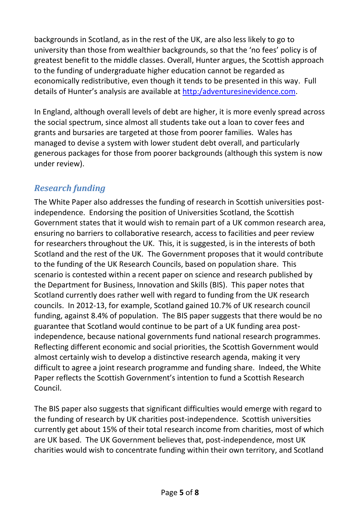backgrounds in Scotland, as in the rest of the UK, are also less likely to go to university than those from wealthier backgrounds, so that the 'no fees' policy is of greatest benefit to the middle classes. Overall, Hunter argues, the Scottish approach to the funding of undergraduate higher education cannot be regarded as economically redistributive, even though it tends to be presented in this way. Full details of Hunter's analysis are available at [http:/adventuresinevidence.com.](http://adventuresinevidence.com/)

In England, although overall levels of debt are higher, it is more evenly spread across the social spectrum, since almost all students take out a loan to cover fees and grants and bursaries are targeted at those from poorer families. Wales has managed to devise a system with lower student debt overall, and particularly generous packages for those from poorer backgrounds (although this system is now under review).

# *Research funding*

The White Paper also addresses the funding of research in Scottish universities postindependence. Endorsing the position of Universities Scotland, the Scottish Government states that it would wish to remain part of a UK common research area, ensuring no barriers to collaborative research, access to facilities and peer review for researchers throughout the UK. This, it is suggested, is in the interests of both Scotland and the rest of the UK. The Government proposes that it would contribute to the funding of the UK Research Councils, based on population share. This scenario is contested within a recent paper on science and research published by the Department for Business, Innovation and Skills (BIS). This paper notes that Scotland currently does rather well with regard to funding from the UK research councils. In 2012-13, for example, Scotland gained 10.7% of UK research council funding, against 8.4% of population. The BIS paper suggests that there would be no guarantee that Scotland would continue to be part of a UK funding area postindependence, because national governments fund national research programmes. Reflecting different economic and social priorities, the Scottish Government would almost certainly wish to develop a distinctive research agenda, making it very difficult to agree a joint research programme and funding share. Indeed, the White Paper reflects the Scottish Government's intention to fund a Scottish Research Council.

The BIS paper also suggests that significant difficulties would emerge with regard to the funding of research by UK charities post-independence. Scottish universities currently get about 15% of their total research income from charities, most of which are UK based. The UK Government believes that, post-independence, most UK charities would wish to concentrate funding within their own territory, and Scotland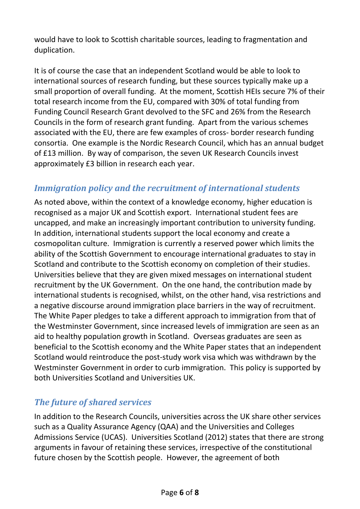would have to look to Scottish charitable sources, leading to fragmentation and duplication.

It is of course the case that an independent Scotland would be able to look to international sources of research funding, but these sources typically make up a small proportion of overall funding. At the moment, Scottish HEIs secure 7% of their total research income from the EU, compared with 30% of total funding from Funding Council Research Grant devolved to the SFC and 26% from the Research Councils in the form of research grant funding. Apart from the various schemes associated with the EU, there are few examples of cross- border research funding consortia. One example is the Nordic Research Council, which has an annual budget of £13 million. By way of comparison, the seven UK Research Councils invest approximately £3 billion in research each year.

## *Immigration policy and the recruitment of international students*

As noted above, within the context of a knowledge economy, higher education is recognised as a major UK and Scottish export. International student fees are uncapped, and make an increasingly important contribution to university funding. In addition, international students support the local economy and create a cosmopolitan culture. Immigration is currently a reserved power which limits the ability of the Scottish Government to encourage international graduates to stay in Scotland and contribute to the Scottish economy on completion of their studies. Universities believe that they are given mixed messages on international student recruitment by the UK Government. On the one hand, the contribution made by international students is recognised, whilst, on the other hand, visa restrictions and a negative discourse around immigration place barriers in the way of recruitment. The White Paper pledges to take a different approach to immigration from that of the Westminster Government, since increased levels of immigration are seen as an aid to healthy population growth in Scotland. Overseas graduates are seen as beneficial to the Scottish economy and the White Paper states that an independent Scotland would reintroduce the post-study work visa which was withdrawn by the Westminster Government in order to curb immigration. This policy is supported by both Universities Scotland and Universities UK.

### *The future of shared services*

In addition to the Research Councils, universities across the UK share other services such as a Quality Assurance Agency (QAA) and the Universities and Colleges Admissions Service (UCAS). Universities Scotland (2012) states that there are strong arguments in favour of retaining these services, irrespective of the constitutional future chosen by the Scottish people. However, the agreement of both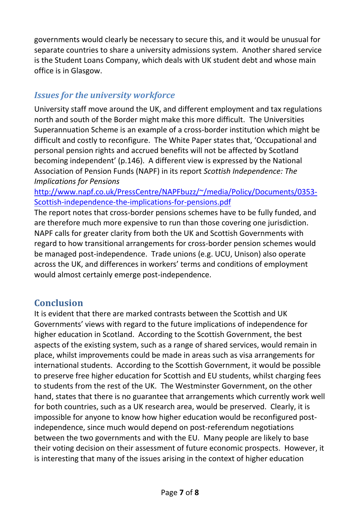governments would clearly be necessary to secure this, and it would be unusual for separate countries to share a university admissions system. Another shared service is the Student Loans Company, which deals with UK student debt and whose main office is in Glasgow.

#### *Issues for the university workforce*

University staff move around the UK, and different employment and tax regulations north and south of the Border might make this more difficult. The Universities Superannuation Scheme is an example of a cross-border institution which might be difficult and costly to reconfigure. The White Paper states that, 'Occupational and personal pension rights and accrued benefits will not be affected by Scotland becoming independent' (p.146). A different view is expressed by the National Association of Pension Funds (NAPF) in its report *Scottish Independence: The Implications for Pensions*

[http://www.napf.co.uk/PressCentre/NAPFbuzz/~/media/Policy/Documents/0353-](http://www.napf.co.uk/PressCentre/NAPFbuzz/~/media/Policy/Documents/0353-Scottish-independence-the-implications-for-pensions.pdf) [Scottish-independence-the-implications-for-pensions.pdf](http://www.napf.co.uk/PressCentre/NAPFbuzz/~/media/Policy/Documents/0353-Scottish-independence-the-implications-for-pensions.pdf)

The report notes that cross-border pensions schemes have to be fully funded, and are therefore much more expensive to run than those covering one jurisdiction. NAPF calls for greater clarity from both the UK and Scottish Governments with regard to how transitional arrangements for cross-border pension schemes would be managed post-independence. Trade unions (e.g. UCU, Unison) also operate across the UK, and differences in workers' terms and conditions of employment would almost certainly emerge post-independence.

#### **Conclusion**

It is evident that there are marked contrasts between the Scottish and UK Governments' views with regard to the future implications of independence for higher education in Scotland. According to the Scottish Government, the best aspects of the existing system, such as a range of shared services, would remain in place, whilst improvements could be made in areas such as visa arrangements for international students. According to the Scottish Government, it would be possible to preserve free higher education for Scottish and EU students, whilst charging fees to students from the rest of the UK. The Westminster Government, on the other hand, states that there is no guarantee that arrangements which currently work well for both countries, such as a UK research area, would be preserved. Clearly, it is impossible for anyone to know how higher education would be reconfigured postindependence, since much would depend on post-referendum negotiations between the two governments and with the EU. Many people are likely to base their voting decision on their assessment of future economic prospects. However, it is interesting that many of the issues arising in the context of higher education